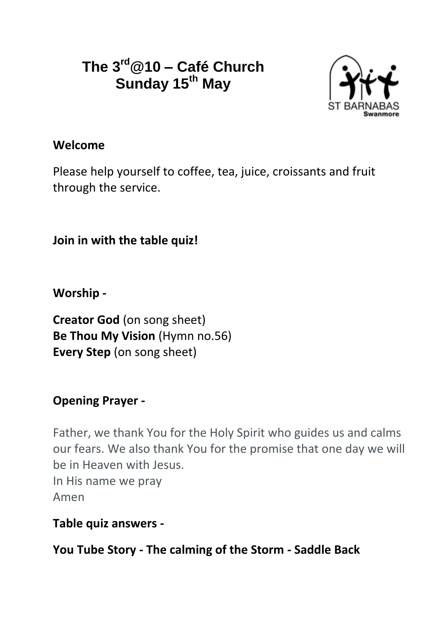# **The 3rd@10 – Café Church Sunday 15th May**



#### **Welcome**

Please help yourself to coffee, tea, juice, croissants and fruit through the service.

**Join in with the table quiz!**

**Worship -**

**Creator God** (on song sheet) **Be Thou My Vision** (Hymn no.56) **Every Step** (on song sheet)

## **Opening Prayer -**

Father, we thank You for the Holy Spirit who guides us and calms our fears. We also thank You for the promise that one day we will be in Heaven with Jesus. In His name we pray Amen

**Table quiz answers -**

**You Tube Story - The calming of the Storm - Saddle Back**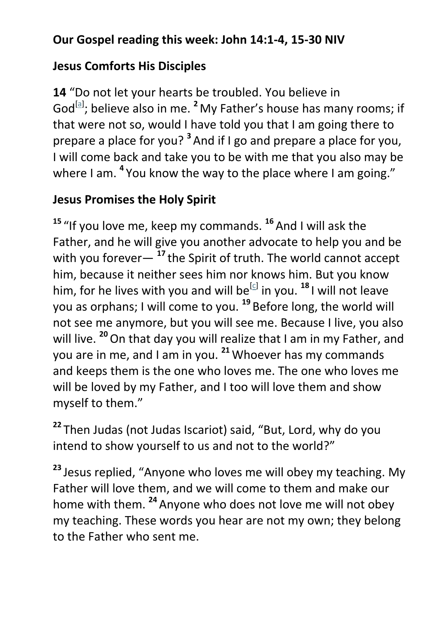## **Our Gospel reading this week: John 14:1-4, 15-30 NIV**

#### **Jesus Comforts His Disciples**

**14** "Do not let your hearts be troubled. You believe in God<sup>[\[a\]](https://www.biblegateway.com/passage/?search=John+14&version=NIV#fen-NIV-26670a)</sup>; believe also in me. <sup>2</sup> My Father's house has many rooms; if that were not so, would I have told you that I am going there to prepare a place for you? **<sup>3</sup>** And if I go and prepare a place for you, I will come back and take you to be with me that you also may be where I am. <sup>4</sup> You know the way to the place where I am going."

## **Jesus Promises the Holy Spirit**

**<sup>15</sup>** "If you love me, keep my commands. **<sup>16</sup>**And I will ask the Father, and he will give you another advocate to help you and be with you forever— **<sup>17</sup>** the Spirit of truth. The world cannot accept him, because it neither sees him nor knows him. But you know him, for he lives with you and will be<sup>[\[c\]](https://www.biblegateway.com/passage/?search=John+14&version=NIV#fen-NIV-26686c)</sup> in you. <sup>18</sup> I will not leave you as orphans; I will come to you. **<sup>19</sup>** Before long, the world will not see me anymore, but you will see me. Because I live, you also will live.<sup>20</sup> On that day you will realize that I am in my Father, and you are in me, and I am in you. **<sup>21</sup>** Whoever has my commands and keeps them is the one who loves me. The one who loves me will be loved by my Father, and I too will love them and show myself to them."

**<sup>22</sup>** Then Judas (not Judas Iscariot) said, "But, Lord, why do you intend to show yourself to us and not to the world?"

**<sup>23</sup>** Jesus replied, "Anyone who loves me will obey my teaching. My Father will love them, and we will come to them and make our home with them. **<sup>24</sup>**Anyone who does not love me will not obey my teaching. These words you hear are not my own; they belong to the Father who sent me.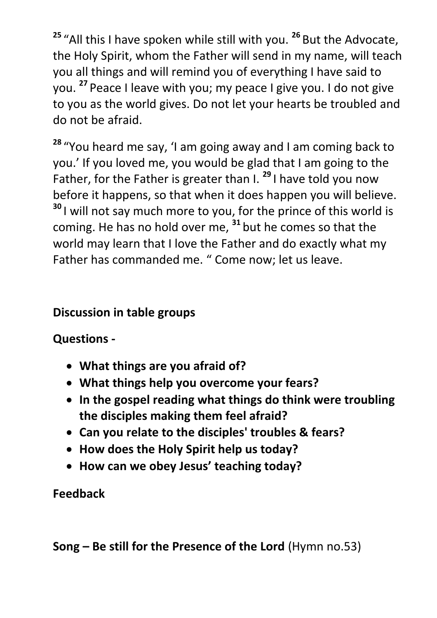**<sup>25</sup>** "All this I have spoken while still with you. **<sup>26</sup>** But the Advocate, the Holy Spirit, whom the Father will send in my name, will teach you all things and will remind you of everything I have said to you. **<sup>27</sup>** Peace I leave with you; my peace I give you. I do not give to you as the world gives. Do not let your hearts be troubled and do not be afraid.

**<sup>28</sup>** "You heard me say, 'I am going away and I am coming back to you.' If you loved me, you would be glad that I am going to the Father, for the Father is greater than I. **<sup>29</sup>** I have told you now before it happens, so that when it does happen you will believe. **<sup>30</sup>** I will not say much more to you, for the prince of this world is coming. He has no hold over me, **<sup>31</sup>** but he comes so that the world may learn that I love the Father and do exactly what my Father has commanded me. " Come now; let us leave.

### **Discussion in table groups**

**Questions -**

- **What things are you afraid of?**
- **What things help you overcome your fears?**
- **In the gospel reading what things do think were troubling the disciples making them feel afraid?**
- **Can you relate to the disciples' troubles & fears?**
- **How does the Holy Spirit help us today?**
- **How can we obey Jesus' teaching today?**

### **Feedback**

**Song – Be still for the Presence of the Lord** (Hymn no.53)